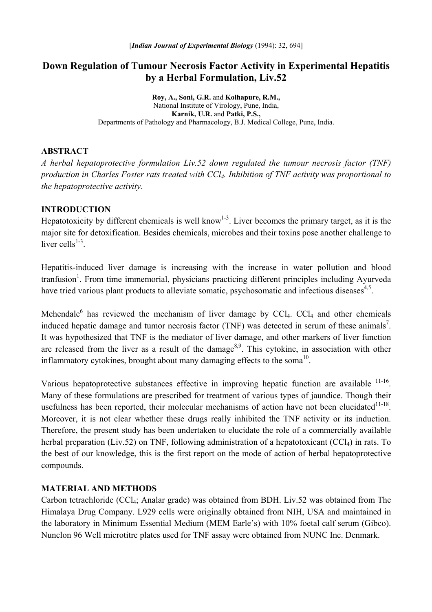# **Down Regulation of Tumour Necrosis Factor Activity in Experimental Hepatitis by a Herbal Formulation, Liv.52**

**Roy, A., Soni, G.R.** and **Kolhapure, R.M.,** National Institute of Virology, Pune, India, **Karnik, U.R.** and **Patki, P.S.,**  Departments of Pathology and Pharmacology, B.J. Medical College, Pune, India.

### **ABSTRACT**

*A herbal hepatoprotective formulation Liv.52 down regulated the tumour necrosis factor (TNF) production in Charles Foster rats treated with CCl4. Inhibition of TNF activity was proportional to the hepatoprotective activity.* 

### **INTRODUCTION**

Hepatotoxicity by different chemicals is well know<sup>1-3</sup>. Liver becomes the primary target, as it is the major site for detoxification. Besides chemicals, microbes and their toxins pose another challenge to liver cells $1-3$ .

Hepatitis-induced liver damage is increasing with the increase in water pollution and blood tranfusion<sup>1</sup>. From time immemorial, physicians practicing different principles including Ayurveda have tried various plant products to alleviate somatic, psychosomatic and infectious diseases<sup>4,5</sup>.

Mehendale<sup>6</sup> has reviewed the mechanism of liver damage by  $CCl<sub>4</sub>$ .  $CCl<sub>4</sub>$  and other chemicals induced hepatic damage and tumor necrosis factor (TNF) was detected in serum of these animals<sup>7</sup>. It was hypothesized that TNF is the mediator of liver damage, and other markers of liver function are released from the liver as a result of the damage<sup>8,9</sup>. This cytokine, in association with other inflammatory cytokines, brought about many damaging effects to the soma<sup>10</sup>.

Various hepatoprotective substances effective in improving hepatic function are available 11-16. Many of these formulations are prescribed for treatment of various types of jaundice. Though their usefulness has been reported, their molecular mechanisms of action have not been elucidated $11-18$ . Moreover, it is not clear whether these drugs really inhibited the TNF activity or its induction. Therefore, the present study has been undertaken to elucidate the role of a commercially available herbal preparation (Liv.52) on TNF, following administration of a hepatotoxicant (CCl<sub>4</sub>) in rats. To the best of our knowledge, this is the first report on the mode of action of herbal hepatoprotective compounds.

#### **MATERIAL AND METHODS**

Carbon tetrachloride (CCl4; Analar grade) was obtained from BDH. Liv.52 was obtained from The Himalaya Drug Company. L929 cells were originally obtained from NIH, USA and maintained in the laboratory in Minimum Essential Medium (MEM Earle's) with 10% foetal calf serum (Gibco). Nunclon 96 Well microtitre plates used for TNF assay were obtained from NUNC Inc. Denmark.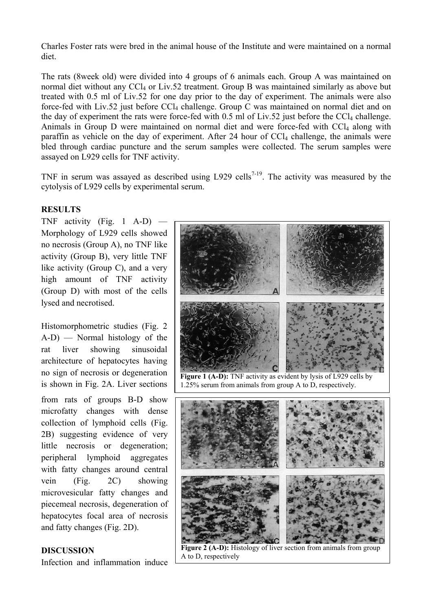Charles Foster rats were bred in the animal house of the Institute and were maintained on a normal diet.

The rats (8week old) were divided into 4 groups of 6 animals each. Group A was maintained on normal diet without any CCl<sub>4</sub> or Liv.52 treatment. Group B was maintained similarly as above but treated with 0.5 ml of Liv.52 for one day prior to the day of experiment. The animals were also force-fed with Liv.52 just before  $CCl_4$  challenge. Group C was maintained on normal diet and on the day of experiment the rats were force-fed with  $0.5$  ml of Liv.52 just before the CCl<sub>4</sub> challenge. Animals in Group D were maintained on normal diet and were force-fed with CCl<sub>4</sub> along with paraffin as vehicle on the day of experiment. After 24 hour of  $CCl<sub>4</sub>$  challenge, the animals were bled through cardiac puncture and the serum samples were collected. The serum samples were assayed on L929 cells for TNF activity.

TNF in serum was assayed as described using L929 cells<sup>7-19</sup>. The activity was measured by the cytolysis of L929 cells by experimental serum.

### **RESULTS**

TNF activity (Fig. 1 A-D)  $-$ Morphology of L929 cells showed no necrosis (Group A), no TNF like activity (Group B), very little TNF like activity (Group C), and a very high amount of TNF activity (Group D) with most of the cells lysed and necrotised.

Histomorphometric studies (Fig. 2 A-D) — Normal histology of the rat liver showing sinusoidal architecture of hepatocytes having no sign of necrosis or degeneration is shown in Fig. 2A. Liver sections

from rats of groups B-D show microfatty changes with dense collection of lymphoid cells (Fig. 2B) suggesting evidence of very little necrosis or degeneration; peripheral lymphoid aggregates with fatty changes around central vein (Fig. 2C) showing microvesicular fatty changes and piecemeal necrosis, degeneration of hepatocytes focal area of necrosis and fatty changes (Fig. 2D).

Infection and inflammation induce



Figure 2 (A-D): Histology of liver section from animals from group **DISCUSSION Pigure 2 (A-D):** His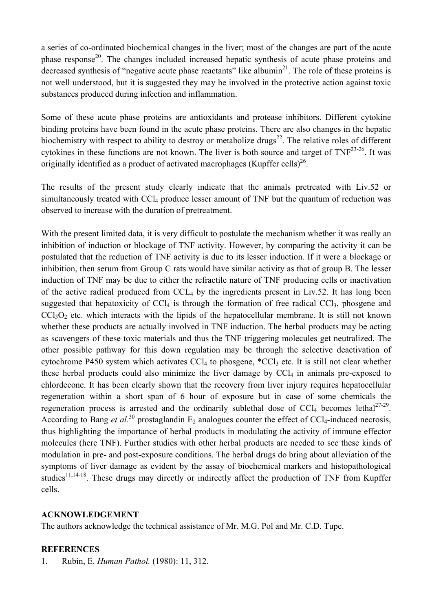a series of co-ordinated biochemical changes in the liver; most of the changes are part of the acute phase response<sup>20</sup>. The changes included increased hepatic synthesis of acute phase proteins and decreased synthesis of "negative acute phase reactants" like albumin $^{21}$ . The role of these proteins is not well understood, but it is suggested they may be involved in the protective action against toxic substances produced during infection and inflammation.

Some of these acute phase proteins are antioxidants and protease inhibitors. Different cytokine binding proteins have been found in the acute phase proteins. There are also changes in the hepatic biochemistry with respect to ability to destroy or metabolize drugs<sup>22</sup>. The relative roles of different cytokines in these functions are not known. The liver is both source and target of TNF<sup>23-26</sup>. It was originally identified as a product of activated macrophages (Kupffer cells)<sup>26</sup>.

The results of the present study clearly indicate that the animals pretreated with Liv.52 or simultaneously treated with CCl<sub>4</sub> produce lesser amount of TNF but the quantum of reduction was observed to increase with the duration of pretreatment.

With the present limited data, it is very difficult to postulate the mechanism whether it was really an inhibition of induction or blockage of TNF activity. However, by comparing the activity it can be postulated that the reduction of TNF activity is due to its lesser induction. If it were a blockage or inhibition, then serum from Group C rats would have similar activity as that of group B. The lesser induction of TNF may be due to either the refractile nature of TNF producing cells or inactivation of the active radical produced from  $CCL_4$  by the ingredients present in Liv.52. It has long been suggested that hepatoxicity of  $\text{CCl}_4$  is through the formation of free radical  $\text{CCl}_3$ , phosgene and  $CCl<sub>3</sub>O<sub>2</sub>$  etc. which interacts with the lipids of the hepatocellular membrane. It is still not known whether these products are actually involved in TNF induction. The herbal products may be acting as scavengers of these toxic materials and thus the TNF triggering molecules get neutralized. The other possible pathway for this down regulation may be through the selective deactivation of cytochrome P450 system which activates  $CCl_4$  to phosgene,  $^{\ast}CCl_3$  etc. It is still not clear whether these herbal products could also minimize the liver damage by  $CCl<sub>4</sub>$  in animals pre-exposed to chlordecone. It has been clearly shown that the recovery from liver injury requires hepatocellular regeneration within a short span of 6 hour of exposure but in case of some chemicals the regeneration process is arrested and the ordinarily sublethal dose of  $CCl<sub>4</sub>$  becomes lethal<sup>27-29</sup>. According to Bang *et al.*<sup>30</sup> prostaglandin E<sub>2</sub> analogues counter the effect of CCl<sub>4</sub>-induced necrosis, thus highlighting the importance of herbal products in modulating the activity of immune effector molecules (here TNF). Further studies with other herbal products are needed to see these kinds of modulation in pre- and post-exposure conditions. The herbal drugs do bring about alleviation of the symptoms of liver damage as evident by the assay of biochemical markers and histopathological studies<sup>11,14-18</sup>. These drugs may directly or indirectly affect the production of TNF from Kupffer cells.

# **ACKNOWLEDGEMENT**

The authors acknowledge the technical assistance of Mr. M.G. Pol and Mr. C.D. Tupe.

# **REFERENCES**

1. Rubin, E. *Human Pathol.* (1980): 11, 312.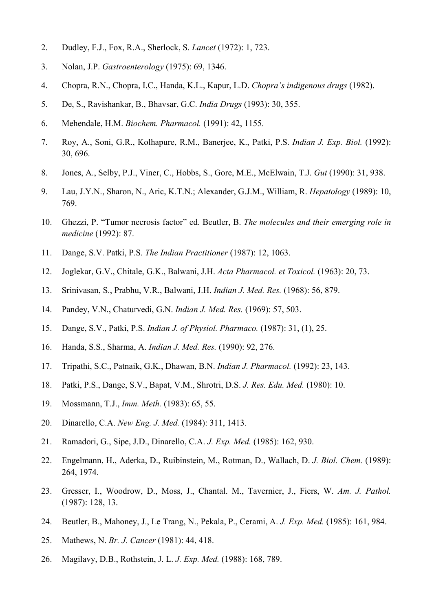- 2. Dudley, F.J., Fox, R.A., Sherlock, S. *Lancet* (1972): 1, 723.
- 3. Nolan, J.P. *Gastroenterology* (1975): 69, 1346.
- 4. Chopra, R.N., Chopra, I.C., Handa, K.L., Kapur, L.D. *Chopra's indigenous drugs* (1982).
- 5. De, S., Ravishankar, B., Bhavsar, G.C. *India Drugs* (1993): 30, 355.
- 6. Mehendale, H.M. *Biochem. Pharmacol.* (1991): 42, 1155.
- 7. Roy, A., Soni, G.R., Kolhapure, R.M., Banerjee, K., Patki, P.S. *Indian J. Exp. Biol.* (1992): 30, 696.
- 8. Jones, A., Selby, P.J., Viner, C., Hobbs, S., Gore, M.E., McElwain, T.J. *Gut* (1990): 31, 938.
- 9. Lau, J.Y.N., Sharon, N., Aric, K.T.N.; Alexander, G.J.M., William, R. *Hepatology* (1989): 10, 769.
- 10. Ghezzi, P. "Tumor necrosis factor" ed. Beutler, B. *The molecules and their emerging role in medicine* (1992): 87.
- 11. Dange, S.V. Patki, P.S. *The Indian Practitioner* (1987): 12, 1063.
- 12. Joglekar, G.V., Chitale, G.K., Balwani, J.H. *Acta Pharmacol. et Toxicol.* (1963): 20, 73.
- 13. Srinivasan, S., Prabhu, V.R., Balwani, J.H. *Indian J. Med. Res.* (1968): 56, 879.
- 14. Pandey, V.N., Chaturvedi, G.N. *Indian J. Med. Res.* (1969): 57, 503.
- 15. Dange, S.V., Patki, P.S. *Indian J. of Physiol. Pharmaco.* (1987): 31, (1), 25.
- 16. Handa, S.S., Sharma, A. *Indian J. Med. Res.* (1990): 92, 276.
- 17. Tripathi, S.C., Patnaik, G.K., Dhawan, B.N. *Indian J. Pharmacol.* (1992): 23, 143.
- 18. Patki, P.S., Dange, S.V., Bapat, V.M., Shrotri, D.S. *J. Res. Edu. Med.* (1980): 10.
- 19. Mossmann, T.J., *Imm. Meth.* (1983): 65, 55.
- 20. Dinarello, C.A. *New Eng. J. Med.* (1984): 311, 1413.
- 21. Ramadori, G., Sipe, J.D., Dinarello, C.A. *J. Exp. Med.* (1985): 162, 930.
- 22. Engelmann, H., Aderka, D., Ruibinstein, M., Rotman, D., Wallach, D. *J. Biol. Chem.* (1989): 264, 1974.
- 23. Gresser, I., Woodrow, D., Moss, J., Chantal. M., Tavernier, J., Fiers, W. *Am. J. Pathol.* (1987): 128, 13.
- 24. Beutler, B., Mahoney, J., Le Trang, N., Pekala, P., Cerami, A. *J. Exp. Med.* (1985): 161, 984.
- 25. Mathews, N. *Br. J. Cancer* (1981): 44, 418.
- 26. Magilavy, D.B., Rothstein, J. L. *J. Exp. Med.* (1988): 168, 789.